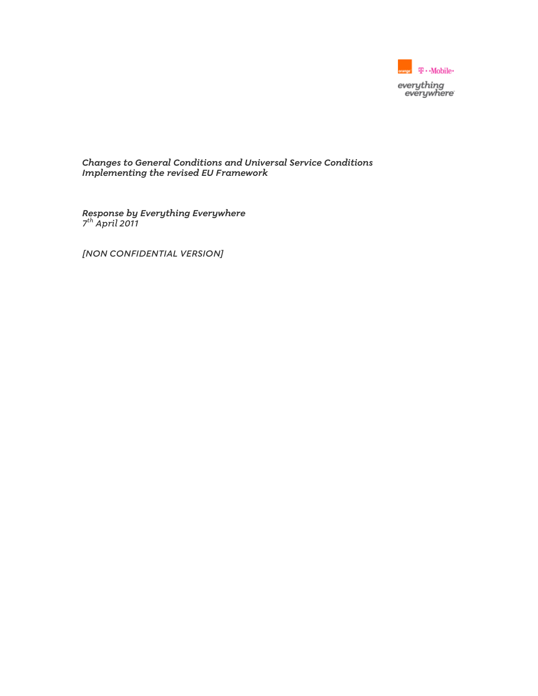

Changes to General Conditions and Universal Service Conditions Implementing the revised EU Framework

Response by Everything Everywhere 7<sup>th</sup> April 2011

[NON CONFIDENTIAL VERSION]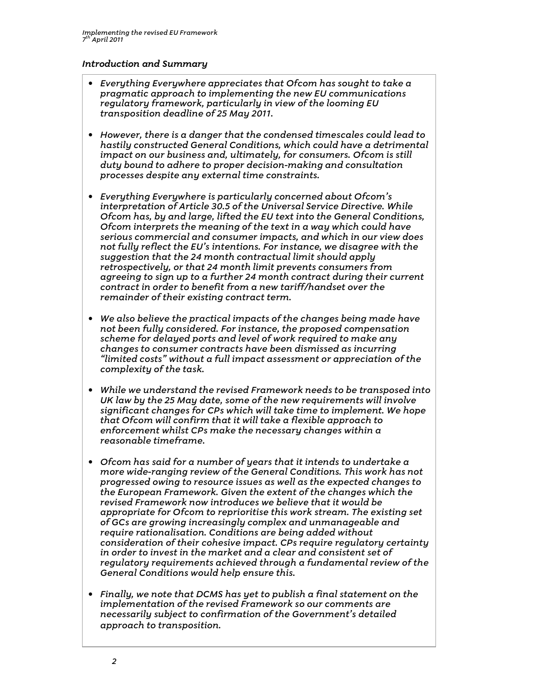### Introduction and Summary

- Everything Everywhere appreciates that Ofcom has sought to take a pragmatic approach to implementing the new EU communications regulatory framework, particularly in view of the looming EU transposition deadline of 25 May 2011.
- However, there is a danger that the condensed timescales could lead to hastily constructed General Conditions, which could have a detrimental impact on our business and, ultimately, for consumers. Ofcom is still duty bound to adhere to proper decision-making and consultation processes despite any external time constraints.
- Everything Everywhere is particularly concerned about Ofcom's interpretation of Article 30.5 of the Universal Service Directive. While Ofcom has, by and large, lifted the EU text into the General Conditions, Ofcom interprets the meaning of the text in a way which could have serious commercial and consumer impacts, and which in our view does not fully reflect the EU's intentions. For instance, we disagree with the suggestion that the 24 month contractual limit should apply retrospectively, or that 24 month limit prevents consumers from agreeing to sign up to a further 24 month contract during their current contract in order to benefit from a new tariff/handset over the remainder of their existing contract term.
- We also believe the practical impacts of the changes being made have not been fully considered. For instance, the proposed compensation scheme for delayed ports and level of work required to make any changes to consumer contracts have been dismissed as incurring "limited costs" without a full impact assessment or appreciation of the complexity of the task.
- While we understand the revised Framework needs to be transposed into UK law by the 25 May date, some of the new requirements will involve significant changes for CPs which will take time to implement. We hope that Ofcom will confirm that it will take a flexible approach to enforcement whilst CPs make the necessary changes within a reasonable timeframe.
- Ofcom has said for a number of years that it intends to undertake a more wide-ranging review of the General Conditions. This work has not progressed owing to resource issues as well as the expected changes to the European Framework. Given the extent of the changes which the revised Framework now introduces we believe that it would be appropriate for Ofcom to reprioritise this work stream. The existing set of GCs are growing increasingly complex and unmanageable and require rationalisation. Conditions are being added without consideration of their cohesive impact. CPs require regulatory certainty in order to invest in the market and a clear and consistent set of regulatory requirements achieved through a fundamental review of the General Conditions would help ensure this.
- Finally, we note that DCMS has yet to publish a final statement on the implementation of the revised Framework so our comments are necessarily subject to confirmation of the Government's detailed approach to transposition.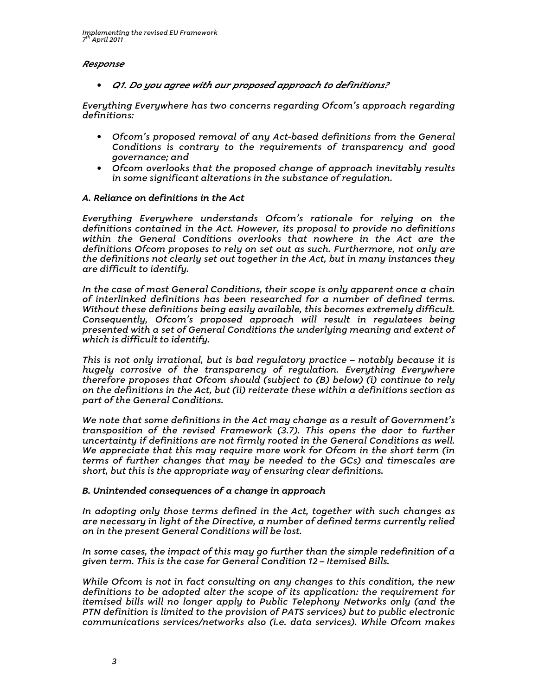#### Response

• Q1. Do you agree with our proposed approach to definitions?

Everything Everywhere has two concerns regarding Ofcom's approach regarding definitions:

- Ofcom's proposed removal of any Act-based definitions from the General Conditions is contrary to the requirements of transparency and good governance; and
- Ofcom overlooks that the proposed change of approach inevitably results in some significant alterations in the substance of regulation.

#### A. Reliance on definitions in the Act

Everything Everywhere understands Ofcom's rationale for relying on the definitions contained in the Act. However, its proposal to provide no definitions within the General Conditions overlooks that nowhere in the Act are the definitions Ofcom proposes to rely on set out as such. Furthermore, not only are the definitions not clearly set out together in the Act, but in many instances they are difficult to identify.

In the case of most General Conditions, their scope is only apparent once a chain of interlinked definitions has been researched for a number of defined terms. Without these definitions being easily available, this becomes extremely difficult. Consequently, Ofcom's proposed approach will result in regulatees being presented with a set of General Conditions the underlying meaning and extent of which is difficult to identify.  $\,$ 

This is not only irrational, but is bad regulatory practice – notably because it is hugely corrosive of the transparency of regulation. Everything Everywhere therefore proposes that Ofcom should (subject to (B) below) (i) continue to rely on the definitions in the Act, but (ii) reiterate these within a definitions section as part of the General Conditions.

We note that some definitions in the Act may change as a result of Government's transposition of the revised Framework (3.7). This opens the door to further uncertainty if definitions are not firmly rooted in the General Conditions as well. We appreciate that this may require more work for Ofcom in the short term (in terms of further changes that may be needed to the GCs) and timescales are short, but this is the appropriate way of ensuring clear definitions.

#### B. Unintended consequences of a change in approach

In adopting only those terms defined in the Act, together with such changes as are necessary in light of the Directive, a number of defined terms currently relied on in the present General Conditions will be lost.

In some cases, the impact of this may go further than the simple redefinition of a given term. This is the case for General Condition 12 – Itemised Bills.

While Ofcom is not in fact consulting on any changes to this condition, the new definitions to be adopted alter the scope of its application: the requirement for itemised bills will no longer apply to Public Telephony Networks only (and the PTN definition is limited to the provision of PATS services) but to public electronic communications services/networks also (i.e. data services). While Ofcom makes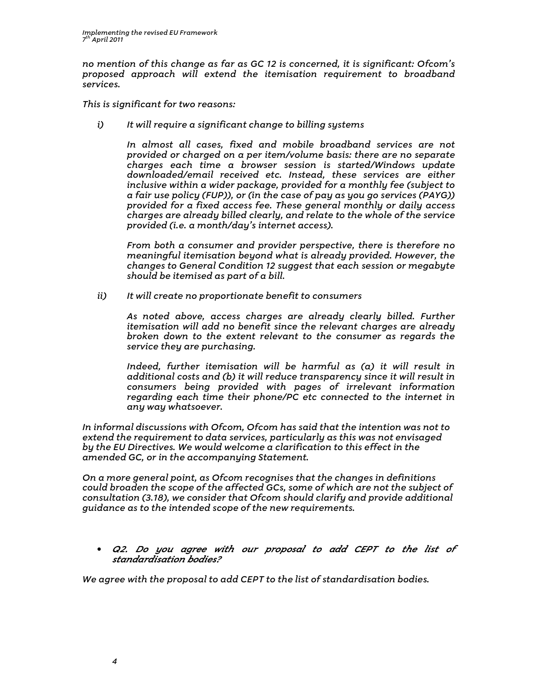no mention of this change as far as GC 12 is concerned, it is significant: Ofcom's proposed approach will extend the itemisation requirement to broadband services.

This is significant for two reasons:

i) It will require a significant change to billing systems

In almost all cases, fixed and mobile broadband services are not provided or charged on a per item/volume basis: there are no separate charges each time a browser session is started/Windows update downloaded/email received etc. Instead, these services are either inclusive within a wider package, provided for a monthly fee (subject to a fair use policy (FUP)), or (in the case of pay as you go services (PAYG)) provided for a fixed access fee. These general monthly or daily access charges are already billed clearly, and relate to the whole of the service provided (i.e. a month/day's internet access).

From both a consumer and provider perspective, there is therefore no meaningful itemisation beyond what is already provided. However, the changes to General Condition 12 suggest that each session or megabyte should be itemised as part of a bill.

ii) It will create no proportionate benefit to consumers

As noted above, access charges are already clearly billed. Further itemisation will add no benefit since the relevant charges are already broken down to the extent relevant to the consumer as regards the service they are purchasing.

Indeed, further itemisation will be harmful as (a) it will result in additional costs and (b) it will reduce transparency since it will result in consumers being provided with pages of irrelevant information regarding each time their phone/PC etc connected to the internet in any way whatsoever.

In informal discussions with Ofcom, Ofcom has said that the intention was not to extend the requirement to data services, particularly as this was not envisaged by the EU Directives. We would welcome a clarification to this effect in the amended GC, or in the accompanying Statement.

On a more general point, as Ofcom recognises that the changes in definitions could broaden the scope of the affected GCs, some of which are not the subject of consultation (3.18), we consider that Ofcom should clarify and provide additional guidance as to the intended scope of the new requirements.

• Q2. Do you agree with our proposal to add CEPT to the list of standardisation bodies?

We agree with the proposal to add CEPT to the list of standardisation bodies.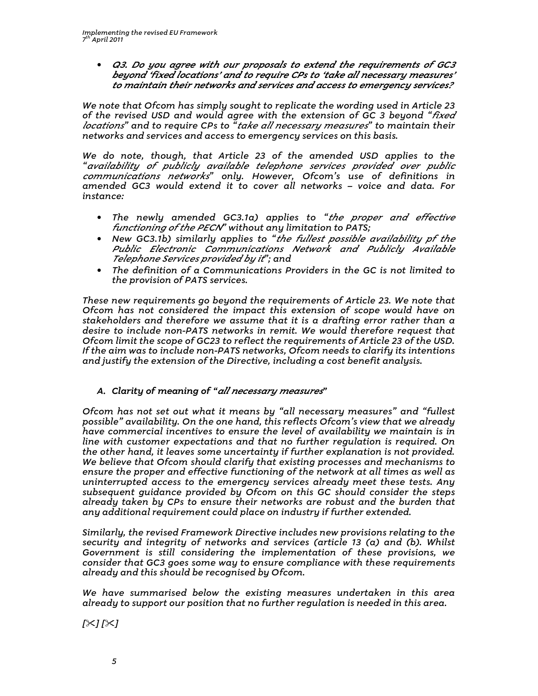• Q3. Do you agree with our proposals to extend the requirements of GC3 beyond 'fixed locations' and to require CPs to 'take all necessary measures' to maintain their networks and services and access to emergency services?

We note that Ofcom has simply sought to replicate the wording used in Article 23 of the revised USD and would agree with the extension of GC 3 beyond "fixed locations" and to require CPs to <sup>"</sup>take all necessary measures" to maintain their networks and services and access to emergency services on this basis.

We do note, though, that Article 23 of the amended USD applies to the "availability of publicly available telephone services provided over public communications networks" only. However, Ofcom's use of definitions in amended GC3 would extend it to cover all networks – voice and data. For instance:

- The newly amended GC3.1a) applies to "the proper and effective functioning of the PECN" without any limitation to PATS;
- New GC3.1b) similarly applies to "the fullest possible availability pf the Public Electronic Communications Network and Publicly Available Telephone Services provided by it"; and
- The definition of a Communications Providers in the GC is not limited to the provision of PATS services.

These new requirements go beyond the requirements of Article 23. We note that Ofcom has not considered the impact this extension of scope would have on stakeholders and therefore we assume that it is a drafting error rather than a desire to include non-PATS networks in remit. We would therefore request that Ofcom limit the scope of GC23 to reflect the requirements of Article 23 of the USD. If the aim was to include non-PATS networks, Ofcom needs to clarify its intentions and justify the extension of the Directive, including a cost benefit analysis.

## A. Clarity of meaning of "all necessary measures"

Ofcom has not set out what it means by "all necessary measures" and "fullest possible" availability. On the one hand, this reflects Ofcom's view that we already have commercial incentives to ensure the level of availability we maintain is in line with customer expectations and that no further regulation is required. On the other hand, it leaves some uncertainty if further explanation is not provided. We believe that Ofcom should clarify that existing processes and mechanisms to ensure the proper and effective functioning of the network at all times as well as uninterrupted access to the emergency services already meet these tests. Any subsequent guidance provided by Ofcom on this GC should consider the steps already taken by CPs to ensure their networks are robust and the burden that any additional requirement could place on industry if further extended.

Similarly, the revised Framework Directive includes new provisions relating to the security and integrity of networks and services (article 13 (a) and (b). Whilst Government is still considering the implementation of these provisions, we consider that GC3 goes some way to ensure compliance with these requirements already and this should be recognised by Ofcom.

We have summarised below the existing measures undertaken in this area already to support our position that no further regulation is needed in this area.

 $[\times] [\times]$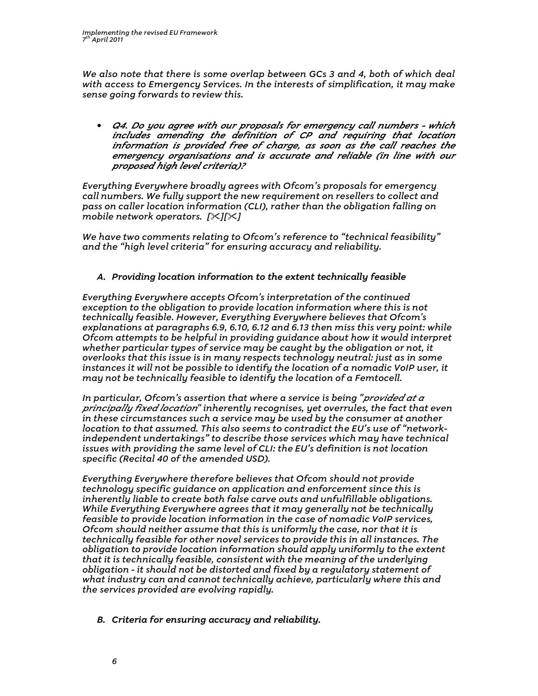We also note that there is some overlap between GCs 3 and 4, both of which deal with access to Emergency Services. In the interests of simplification, it may make sense going forwards to review this.

• Q4. Do you agree with our proposals for emergency call numbers - which includes amending the definition of CP and requiring that location information is provided free of charge, as soon as the call reaches the emergency organisations and is accurate and reliable (in line with our proposed high level criteria)?

Everything Everywhere broadly agrees with Ofcom's proposals for emergency call numbers. We fully support the new requirement on resellers to collect and pass on caller location information (CLI), rather than the obligation falling on mobile network operators.  $[\times][\times]$ 

We have two comments relating to Ofcom's reference to "technical feasibility" and the "high level criteria" for ensuring accuracy and reliability.

## A. Providing location information to the extent technically feasible

Everything Everywhere accepts Ofcom's interpretation of the continued exception to the obligation to provide location information where this is not technically feasible. However, Everything Everywhere believes that Ofcom's explanations at paragraphs 6.9, 6.10, 6.12 and 6.13 then miss this very point: while Ofcom attempts to be helpful in providing guidance about how it would interpret whether particular types of service may be caught by the obligation or not, it overlooks that this issue is in many respects technology neutral: just as in some instances it will not be possible to identify the location of a nomadic VoIP user, it may not be technically feasible to identify the location of a Femtocell.

In particular, Ofcom's assertion that where a service is being "provided at a principally fixed location" inherently recognises, yet overrules, the fact that even in these circumstances such a service may be used by the consumer at another location to that assumed. This also seems to contradict the EU's use of "networkindependent undertakings" to describe those services which may have technical issues with providing the same level of CLI: the EU's definition is not location specific (Recital 40 of the amended USD).

Everything Everywhere therefore believes that Ofcom should not provide technology specific guidance on application and enforcement since this is inherently liable to create both false carve outs and unfulfillable obligations. While Everything Everywhere agrees that it may generally not be technically feasible to provide location information in the case of nomadic VoIP services, Ofcom should neither assume that this is uniformly the case, nor that it is technically feasible for other novel services to provide this in all instances. The obligation to provide location information should apply uniformly to the extent that it is technically feasible, consistent with the meaning of the underlying obligation - it should not be distorted and fixed by a regulatory statement of what industry can and cannot technically achieve, particularly where this and the services provided are evolving rapidly.

B. Criteria for ensuring accuracy and reliability.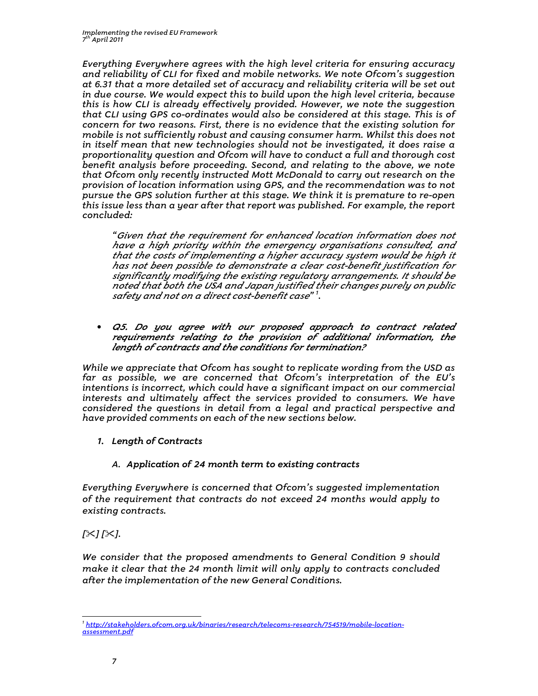Everything Everywhere agrees with the high level criteria for ensuring accuracy and reliability of CLI for fixed and mobile networks. We note Ofcom's suggestion at 6.31 that a more detailed set of accuracy and reliability criteria will be set out in due course. We would expect this to build upon the high level criteria, because this is how CLI is already effectively provided. However, we note the suggestion that CLI using GPS co-ordinates would also be considered at this stage. This is of concern for two reasons. First, there is no evidence that the existing solution for mobile is not sufficiently robust and causing consumer harm. Whilst this does not in itself mean that new technologies should not be investigated, it does raise a proportionality question and Ofcom will have to conduct a full and thorough cost benefit analysis before proceeding. Second, and relating to the above, we note that Ofcom only recently instructed Mott McDonald to carry out research on the provision of location information using GPS, and the recommendation was to not pursue the GPS solution further at this stage. We think it is premature to re-open this issue less than a year after that report was published. For example, the report concluded:

"Given that the requirement for enhanced location information does not have a high priority within the emergency organisations consulted, and that the costs of implementing a higher accuracy system would be high it has not been possible to demonstrate a clear cost-benefit justification for significantly modifying the existing regulatory arrangements. It should be noted that both the USA and Japan justified their changes purely on public safety and not on a direct cost-benefit case" <sup>1</sup> .

• Q5. Do you agree with our proposed approach to contract related requirements relating to the provision of additional information, the length of contracts and the conditions for termination?

While we appreciate that Ofcom has sought to replicate wording from the USD as far as possible, we are concerned that Ofcom's interpretation of the EU's intentions is incorrect, which could have a significant impact on our commercial interests and ultimately affect the services provided to consumers. We have considered the questions in detail from a legal and practical perspective and have provided comments on each of the new sections below.

- 1. Length of Contracts
	- A. Application of 24 month term to existing contracts

Everything Everywhere is concerned that Ofcom's suggested implementation of the requirement that contracts do not exceed 24 months would apply to existing contracts.

 $[\times] [\times]$ .

 $\overline{a}$ 

We consider that the proposed amendments to General Condition 9 should make it clear that the 24 month limit will only apply to contracts concluded after the implementation of the new General Conditions.

<sup>1</sup> http://stakeholders.ofcom.org.uk/binaries/research/telecoms-research/754519/mobile-locationassessment.pdf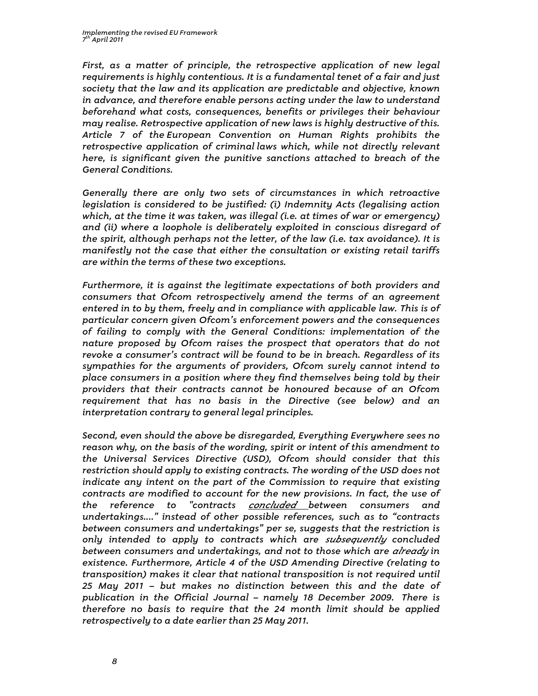First, as a matter of principle, the retrospective application of new legal requirements is highly contentious. It is a fundamental tenet of a fair and just society that the law and its application are predictable and objective, known in advance, and therefore enable persons acting under the law to understand beforehand what costs, consequences, benefits or privileges their behaviour may realise. Retrospective application of new laws is highly destructive of this. Article 7 of the European Convention on Human Rights prohibits the retrospective application of criminal laws which, while not directly relevant here, is significant given the punitive sanctions attached to breach of the General Conditions.

Generally there are only two sets of circumstances in which retroactive legislation is considered to be justified: (i) Indemnity Acts (legalising action which, at the time it was taken, was illegal (i.e. at times of war or emergency) and (ii) where a loophole is deliberately exploited in conscious disregard of the spirit, although perhaps not the letter, of the law (i.e. tax avoidance). It is manifestly not the case that either the consultation or existing retail tariffs are within the terms of these two exceptions.

Furthermore, it is against the legitimate expectations of both providers and consumers that Ofcom retrospectively amend the terms of an agreement entered in to by them, freely and in compliance with applicable law. This is of particular concern given Ofcom's enforcement powers and the consequences of failing to comply with the General Conditions: implementation of the nature proposed by Ofcom raises the prospect that operators that do not revoke a consumer's contract will be found to be in breach. Regardless of its sympathies for the arguments of providers, Ofcom surely cannot intend to place consumers in a position where they find themselves being told by their providers that their contracts cannot be honoured because of an Ofcom requirement that has no basis in the Directive (see below) and an interpretation contrary to general legal principles.

Second, even should the above be disregarded, Everything Everywhere sees no reason why, on the basis of the wording, spirit or intent of this amendment to the Universal Services Directive (USD), Ofcom should consider that this restriction should apply to existing contracts. The wording of the USD does not indicate any intent on the part of the Commission to require that existing contracts are modified to account for the new provisions. In fact, the use of the reference to "contracts *concluded* between consumers and undertakings...." instead of other possible references, such as to "contracts between consumers and undertakings" per se, suggests that the restriction is only intended to apply to contracts which are subsequently concluded between consumers and undertakings, and not to those which are *already* in existence. Furthermore, Article 4 of the USD Amending Directive (relating to transposition) makes it clear that national transposition is not required until 25 May 2011 – but makes no distinction between this and the date of publication in the Official Journal – namely 18 December 2009. There is therefore no basis to require that the 24 month limit should be applied retrospectively to a date earlier than 25 May 2011.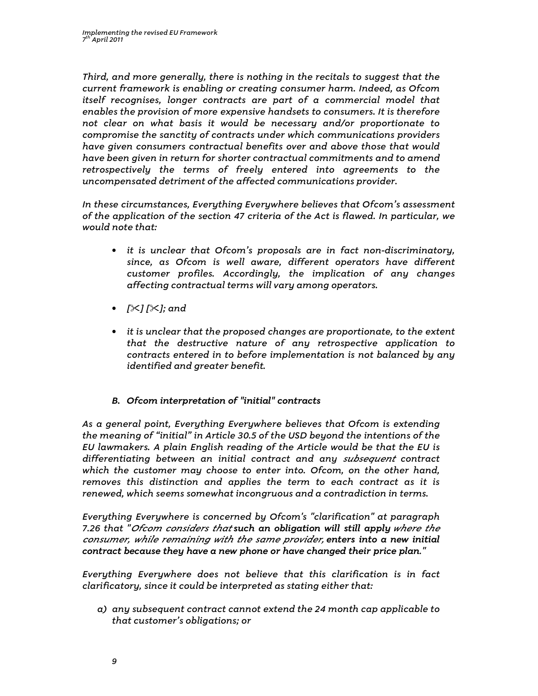Third, and more generally, there is nothing in the recitals to suggest that the current framework is enabling or creating consumer harm. Indeed, as Ofcom itself recognises, longer contracts are part of a commercial model that enables the provision of more expensive handsets to consumers. It is therefore not clear on what basis it would be necessary and/or proportionate to compromise the sanctity of contracts under which communications providers have given consumers contractual benefits over and above those that would have been given in return for shorter contractual commitments and to amend retrospectively the terms of freely entered into agreements to the uncompensated detriment of the affected communications provider.

In these circumstances, Everything Everywhere believes that Ofcom's assessment of the application of the section 47 criteria of the Act is flawed. In particular, we would note that:

- it is unclear that Ofcom's proposals are in fact non-discriminatory, since, as Ofcom is well aware, different operators have different customer profiles. Accordingly, the implication of any changes affecting contractual terms will vary among operators.
- $[\times] [\times]$ ; and
- it is unclear that the proposed changes are proportionate, to the extent that the destructive nature of any retrospective application to contracts entered in to before implementation is not balanced by any identified and greater benefit.

# B. Ofcom interpretation of "initial" contracts

As a general point, Everything Everywhere believes that Ofcom is extending the meaning of "initial" in Article 30.5 of the USD beyond the intentions of the EU lawmakers. A plain English reading of the Article would be that the EU is differentiating between an initial contract and any subsequent contract which the customer may choose to enter into. Ofcom, on the other hand, removes this distinction and applies the term to each contract as it is renewed, which seems somewhat incongruous and a contradiction in terms.

Everything Everywhere is concerned by Ofcom's "clarification" at paragraph 7.26 that "Ofcom considers that such an obligation will still apply where the consumer, while remaining with the same provider, enters into a new initial contract because they have a new phone or have changed their price plan."

Everything Everywhere does not believe that this clarification is in fact clarificatory, since it could be interpreted as stating either that:

a) any subsequent contract cannot extend the 24 month cap applicable to that customer's obligations; or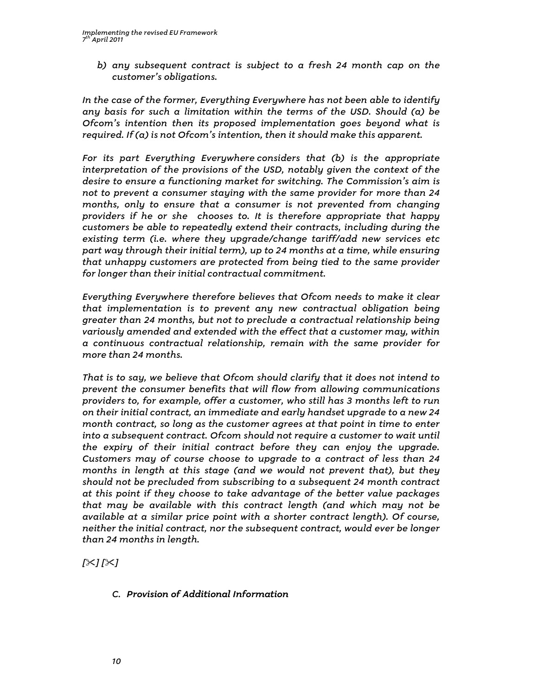b) any subsequent contract is subject to a fresh 24 month cap on the customer's obligations.

In the case of the former, Everything Everywhere has not been able to identify any basis for such a limitation within the terms of the USD. Should (a) be Ofcom's intention then its proposed implementation goes beyond what is required. If (a) is not Ofcom's intention, then it should make this apparent.

For its part Everything Everywhere considers that (b) is the appropriate interpretation of the provisions of the USD, notably given the context of the desire to ensure a functioning market for switching. The Commission's aim is not to prevent a consumer staying with the same provider for more than 24 months, only to ensure that a consumer is not prevented from changing providers if he or she chooses to. It is therefore appropriate that happy customers be able to repeatedly extend their contracts, including during the existing term (i.e. where they upgrade/change tariff/add new services etc part way through their initial term), up to 24 months at a time, while ensuring that unhappy customers are protected from being tied to the same provider for longer than their initial contractual commitment.

Everything Everywhere therefore believes that Ofcom needs to make it clear that implementation is to prevent any new contractual obligation being greater than 24 months, but not to preclude a contractual relationship being variously amended and extended with the effect that a customer may, within a continuous contractual relationship, remain with the same provider for more than 24 months.

That is to say, we believe that Ofcom should clarify that it does not intend to prevent the consumer benefits that will flow from allowing communications providers to, for example, offer a customer, who still has 3 months left to run on their initial contract, an immediate and early handset upgrade to a new 24 month contract, so long as the customer agrees at that point in time to enter into a subsequent contract. Ofcom should not require a customer to wait until the expiry of their initial contract before they can enjoy the upgrade. Customers may of course choose to upgrade to a contract of less than 24 months in length at this stage (and we would not prevent that), but they should not be precluded from subscribing to a subsequent 24 month contract at this point if they choose to take advantage of the better value packages that may be available with this contract length (and which may not be available at a similar price point with a shorter contract length). Of course, neither the initial contract, nor the subsequent contract, would ever be longer than 24 months in length.

 $[\times] [\times]$ 

C. Provision of Additional Information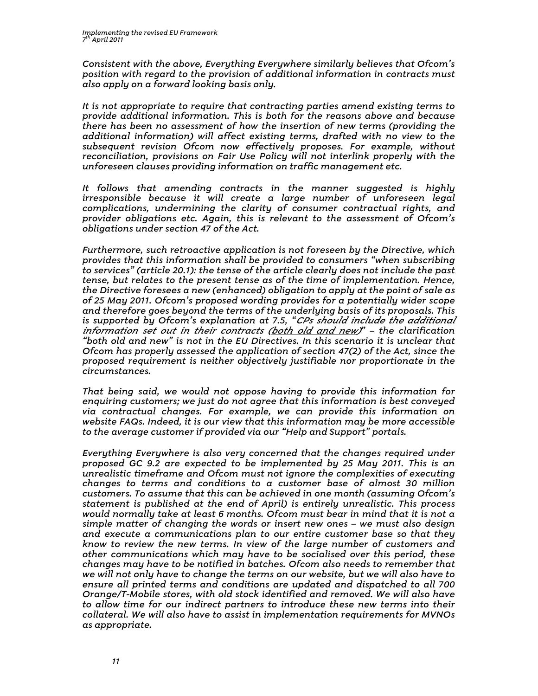Consistent with the above, Everything Everywhere similarly believes that Ofcom's position with regard to the provision of additional information in contracts must also apply on a forward looking basis only.

It is not appropriate to require that contracting parties amend existing terms to provide additional information. This is both for the reasons above and because there has been no assessment of how the insertion of new terms (providing the additional information) will affect existing terms, drafted with no view to the subsequent revision Ofcom now effectively proposes. For example, without reconciliation, provisions on Fair Use Policy will not interlink properly with the unforeseen clauses providing information on traffic management etc.

It follows that amending contracts in the manner suggested is highly irresponsible because it will create a large number of unforeseen legal complications, undermining the clarity of consumer contractual rights, and provider obligations etc. Again, this is relevant to the assessment of Ofcom's obligations under section 47 of the Act.

Furthermore, such retroactive application is not foreseen by the Directive, which provides that this information shall be provided to consumers "when subscribing to services" (article 20.1): the tense of the article clearly does not include the past tense, but relates to the present tense as of the time of implementation. Hence, the Directive foresees a new (enhanced) obligation to apply at the point of sale as of 25 May 2011. Ofcom's proposed wording provides for a potentially wider scope and therefore goes beyond the terms of the underlying basis of its proposals. This is supported by Ofcom's explanation at 7.5, "CPs should include the additional information set out in their contracts (both old and new)" – the clarification "both old and new" is not in the EU Directives. In this scenario it is unclear that Ofcom has properly assessed the application of section 47(2) of the Act, since the proposed requirement is neither objectively justifiable nor proportionate in the circumstances.

That being said, we would not oppose having to provide this information for enquiring customers; we just do not agree that this information is best conveyed via contractual changes. For example, we can provide this information on website FAQs. Indeed, it is our view that this information may be more accessible to the average customer if provided via our "Help and Support" portals.

Everything Everywhere is also very concerned that the changes required under proposed GC 9.2 are expected to be implemented by 25 May 2011. This is an unrealistic timeframe and Ofcom must not ignore the complexities of executing changes to terms and conditions to a customer base of almost 30 million customers. To assume that this can be achieved in one month (assuming Ofcom's statement is published at the end of April) is entirely unrealistic. This process would normally take at least 6 months. Ofcom must bear in mind that it is not a simple matter of changing the words or insert new ones – we must also design and execute a communications plan to our entire customer base so that they know to review the new terms. In view of the large number of customers and other communications which may have to be socialised over this period, these changes may have to be notified in batches. Ofcom also needs to remember that we will not only have to change the terms on our website, but we will also have to ensure all printed terms and conditions are updated and dispatched to all 700 Orange/T-Mobile stores, with old stock identified and removed. We will also have to allow time for our indirect partners to introduce these new terms into their collateral. We will also have to assist in implementation requirements for MVNOs as appropriate.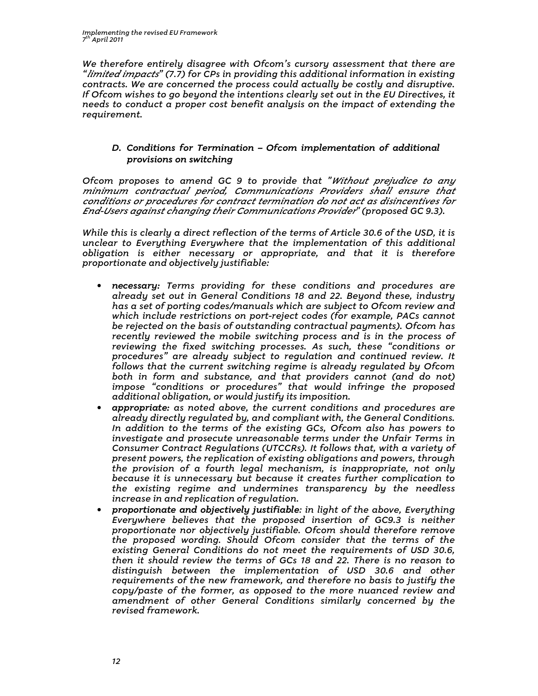We therefore entirely disagree with Ofcom's cursory assessment that there are "limited impacts" (7.7) for CPs in providing this additional information in existing contracts. We are concerned the process could actually be costly and disruptive. If Ofcom wishes to go beyond the intentions clearly set out in the EU Directives, it needs to conduct a proper cost benefit analysis on the impact of extending the requirement.

### D. Conditions for Termination – Ofcom implementation of additional provisions on switching

Ofcom proposes to amend GC 9 to provide that "Without prejudice to any minimum contractual period, Communications Providers shall ensure that conditions or procedures for contract termination do not act as disincentives for End-Users against changing their Communications Provider" (proposed GC 9.3).

While this is clearly a direct reflection of the terms of Article 30.6 of the USD, it is unclear to Everything Everywhere that the implementation of this additional obligation is either necessary or appropriate, and that it is therefore proportionate and objectively justifiable:

- necessary: Terms providing for these conditions and procedures are already set out in General Conditions 18 and 22. Beyond these, industry has a set of porting codes/manuals which are subject to Ofcom review and which include restrictions on port-reject codes (for example, PACs cannot be rejected on the basis of outstanding contractual payments). Ofcom has recently reviewed the mobile switching process and is in the process of reviewing the fixed switching processes. As such, these "conditions or procedures" are already subject to regulation and continued review. It follows that the current switching regime is already regulated by Ofcom both in form and substance, and that providers cannot (and do not) impose "conditions or procedures" that would infringe the proposed additional obligation, or would justify its imposition.
- appropriate: as noted above, the current conditions and procedures are already directly regulated by, and compliant with, the General Conditions. In addition to the terms of the existing GCs, Ofcom also has powers to investigate and prosecute unreasonable terms under the Unfair Terms in Consumer Contract Regulations (UTCCRs). It follows that, with a variety of present powers, the replication of existing obligations and powers, through the provision of a fourth legal mechanism, is inappropriate, not only because it is unnecessary but because it creates further complication to the existing regime and undermines transparency by the needless increase in and replication of regulation.
- proportionate and objectively justifiable: in light of the above, Everything Everywhere believes that the proposed insertion of GC9.3 is neither proportionate nor objectively justifiable. Ofcom should therefore remove the proposed wording. Should Ofcom consider that the terms of the existing General Conditions do not meet the requirements of USD 30.6, then it should review the terms of GCs 18 and 22. There is no reason to distinguish between the implementation of USD 30.6 and other requirements of the new framework, and therefore no basis to justify the copy/paste of the former, as opposed to the more nuanced review and amendment of other General Conditions similarly concerned by the revised framework.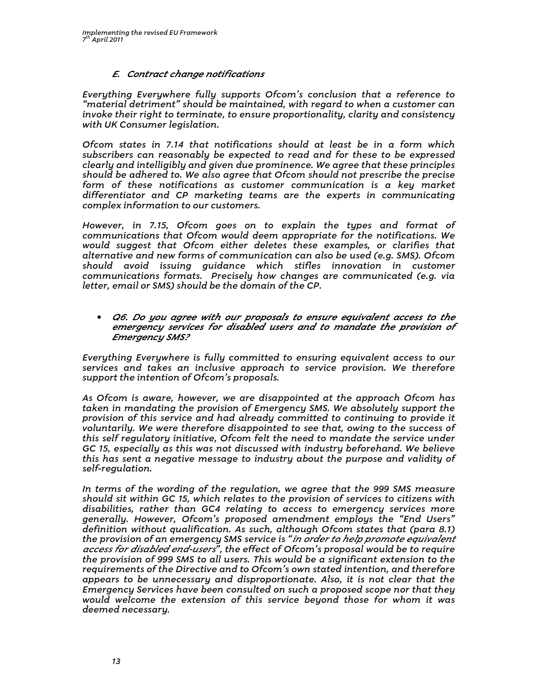### E. Contract change notifications

Everything Everywhere fully supports Ofcom's conclusion that a reference to "material detriment" should be maintained, with regard to when a customer can invoke their right to terminate, to ensure proportionality, clarity and consistency with UK Consumer legislation.

Ofcom states in 7.14 that notifications should at least be in a form which subscribers can reasonably be expected to read and for these to be expressed clearly and intelligibly and given due prominence. We agree that these principles should be adhered to. We also agree that Ofcom should not prescribe the precise form of these notifications as customer communication is a key market differentiator and CP marketing teams are the experts in communicating complex information to our customers.

However, in 7.15, Ofcom goes on to explain the types and format of communications that Ofcom would deem appropriate for the notifications. We would suggest that Ofcom either deletes these examples, or clarifies that alternative and new forms of communication can also be used (e.g. SMS). Ofcom should avoid issuing guidance which stifles innovation in customer communications formats. Precisely how changes are communicated (e.g. via letter, email or SMS) should be the domain of the CP.

• Q6. Do you agree with our proposals to ensure equivalent access to the emergency services for disabled users and to mandate the provision of Emergency SMS?

Everything Everywhere is fully committed to ensuring equivalent access to our services and takes an inclusive approach to service provision. We therefore support the intention of Ofcom's proposals.

As Ofcom is aware, however, we are disappointed at the approach Ofcom has taken in mandating the provision of Emergency SMS. We absolutely support the provision of this service and had already committed to continuing to provide it voluntarily. We were therefore disappointed to see that, owing to the success of this self regulatory initiative, Ofcom felt the need to mandate the service under GC 15, especially as this was not discussed with industry beforehand. We believe this has sent a negative message to industry about the purpose and validity of self-regulation.

In terms of the wording of the regulation, we agree that the 999 SMS measure should sit within GC 15, which relates to the provision of services to citizens with disabilities, rather than GC4 relating to access to emergency services more generally. However, Ofcom's proposed amendment employs the "End Users" definition without qualification. As such, although Ofcom states that (para 8.1) the provision of an emergency SMS service is "*in order to help promote equivalent* access for disabled end-users", the effect of Ofcom's proposal would be to require the provision of 999 SMS to all users. This would be a significant extension to the requirements of the Directive and to Ofcom's own stated intention, and therefore appears to be unnecessary and disproportionate. Also, it is not clear that the Emergency Services have been consulted on such a proposed scope nor that they would welcome the extension of this service beyond those for whom it was deemed necessary.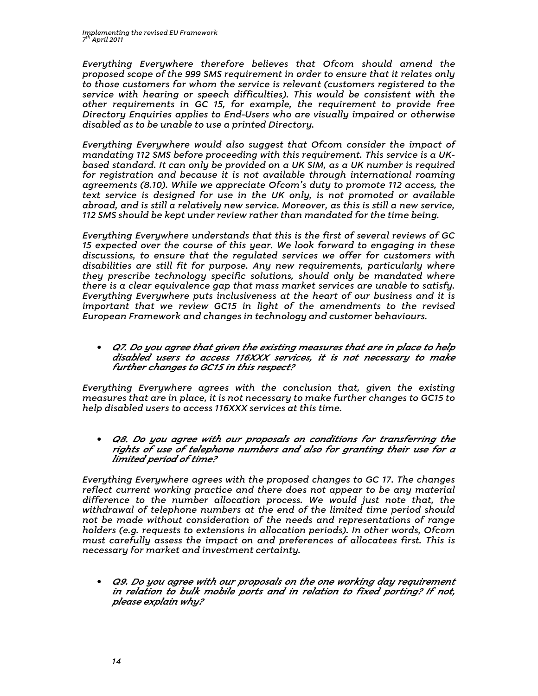Everything Everywhere therefore believes that Ofcom should amend the proposed scope of the 999 SMS requirement in order to ensure that it relates only to those customers for whom the service is relevant (customers registered to the service with hearing or speech difficulties). This would be consistent with the other requirements in GC 15, for example, the requirement to provide free Directory Enquiries applies to End-Users who are visually impaired or otherwise disabled as to be unable to use a printed Directory.

Everything Everywhere would also suggest that Ofcom consider the impact of mandating 112 SMS before proceeding with this requirement. This service is a UKbased standard. It can only be provided on a UK SIM, as a UK number is required for registration and because it is not available through international roaming agreements (8.10). While we appreciate Ofcom's duty to promote 112 access, the text service is designed for use in the UK only, is not promoted or available abroad, and is still a relatively new service. Moreover, as this is still a new service, 112 SMS should be kept under review rather than mandated for the time being.

Everything Everywhere understands that this is the first of several reviews of GC 15 expected over the course of this year. We look forward to engaging in these discussions, to ensure that the regulated services we offer for customers with disabilities are still fit for purpose. Any new requirements, particularly where they prescribe technology specific solutions, should only be mandated where there is a clear equivalence gap that mass market services are unable to satisfy. Everything Everywhere puts inclusiveness at the heart of our business and it is important that we review GC15 in light of the amendments to the revised European Framework and changes in technology and customer behaviours.

• Q7. Do you agree that given the existing measures that are in place to help disabled users to access 116XXX services, it is not necessary to make further changes to GC15 in this respect?

Everything Everywhere agrees with the conclusion that, given the existing measures that are in place, it is not necessary to make further changes to GC15 to help disabled users to access 116XXX services at this time.

• Q8. Do you agree with our proposals on conditions for transferring the rights of use of telephone numbers and also for granting their use for a limited period of time?

Everything Everywhere agrees with the proposed changes to GC 17. The changes reflect current working practice and there does not appear to be any material difference to the number allocation process. We would just note that, the withdrawal of telephone numbers at the end of the limited time period should not be made without consideration of the needs and representations of range holders (e.g. requests to extensions in allocation periods). In other words, Ofcom must carefully assess the impact on and preferences of allocatees first. This is necessary for market and investment certainty.

• Q9. Do you agree with our proposals on the one working day requirement in relation to bulk mobile ports and in relation to fixed porting? If not, please explain why?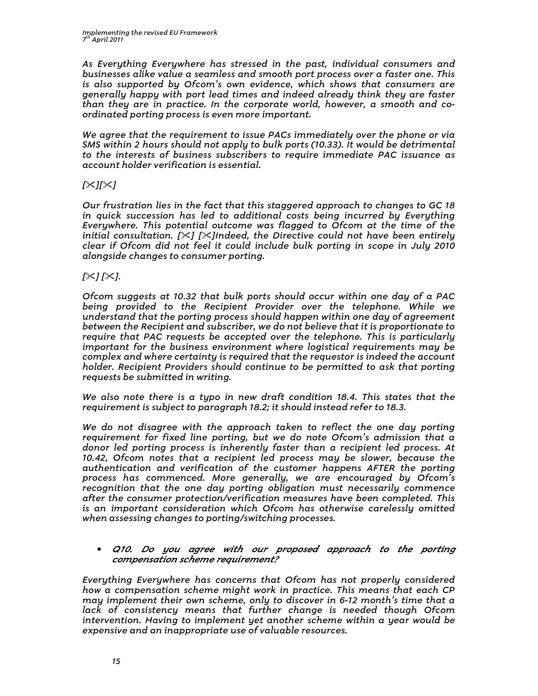As Everything Everywhere has stressed in the past, individual consumers and businesses alike value a seamless and smooth port process over a faster one. This is also supported by Ofcom's own evidence, which shows that consumers are generally happy with port lead times and indeed already think they are faster than they are in practice. In the corporate world, however, a smooth and coordinated porting process is even more important.

We agree that the requirement to issue PACs immediately over the phone or via SMS within 2 hours should not apply to bulk ports (10.33). It would be detrimental to the interests of business subscribers to require immediate PAC issuance as account holder verification is essential.

### $I \times I \times I$

Our frustration lies in the fact that this staggered approach to changes to GC 18 in quick succession has led to additional costs being incurred by Everything Everywhere. This potential outcome was flagged to Ofcom at the time of the initial consultation.  $[\times]$  [X]Indeed, the Directive could not have been entirely clear if Ofcom did not feel it could include bulk porting in scope in July 2010 alongside changes to consumer porting.

## $[\times] [\times]$ .

Ofcom suggests at 10.32 that bulk ports should occur within one day of a PAC being provided to the Recipient Provider over the telephone. While we understand that the porting process should happen within one day of agreement between the Recipient and subscriber, we do not believe that it is proportionate to require that PAC requests be accepted over the telephone. This is particularly important for the business environment where logistical requirements may be complex and where certainty is required that the requestor is indeed the account holder. Recipient Providers should continue to be permitted to ask that porting requests be submitted in writing.

We also note there is a typo in new draft condition 18.4. This states that the requirement is subject to paragraph 18.2; it should instead refer to 18.3.

We do not disagree with the approach taken to reflect the one day porting requirement for fixed line porting, but we do note Ofcom's admission that a donor led porting process is inherently faster than a recipient led process. At 10.42, Ofcom notes that a recipient led process may be slower, because the authentication and verification of the customer happens AFTER the porting process has commenced. More generally, we are encouraged by Ofcom's recognition that the one day porting obligation must necessarily commence after the consumer protection/verification measures have been completed. This is an important consideration which Ofcom has otherwise carelessly omitted when assessing changes to porting/switching processes.

#### • Q10. Do you agree with our proposed approach to the porting compensation scheme requirement?

Everything Everywhere has concerns that Ofcom has not properly considered how a compensation scheme might work in practice. This means that each CP may implement their own scheme, only to discover in 6-12 month's time that a lack of consistency means that further change is needed though Ofcom intervention. Having to implement yet another scheme within a year would be expensive and an inappropriate use of valuable resources.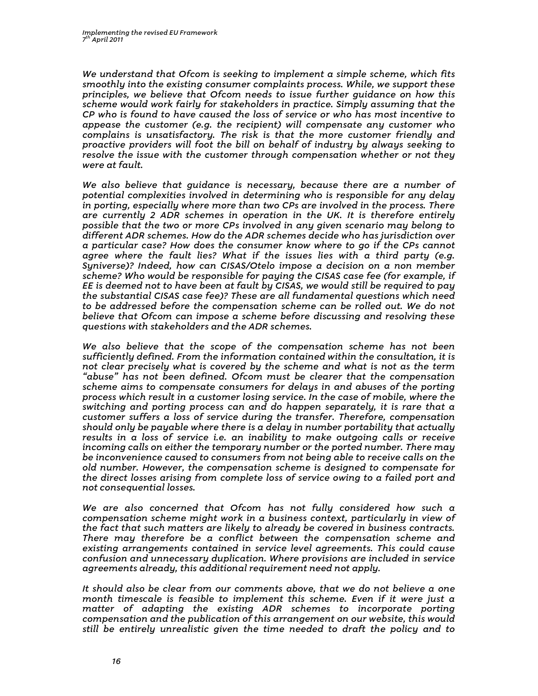We understand that Ofcom is seeking to implement a simple scheme, which fits smoothly into the existing consumer complaints process. While, we support these principles, we believe that Ofcom needs to issue further guidance on how this scheme would work fairly for stakeholders in practice. Simply assuming that the CP who is found to have caused the loss of service or who has most incentive to appease the customer (e.g. the recipient) will compensate any customer who complains is unsatisfactory. The risk is that the more customer friendly and proactive providers will foot the bill on behalf of industry by always seeking to resolve the issue with the customer through compensation whether or not they were at fault.

We also believe that guidance is necessary, because there are a number of potential complexities involved in determining who is responsible for any delay in porting, especially where more than two CPs are involved in the process. There are currently 2 ADR schemes in operation in the UK. It is therefore entirely possible that the two or more CPs involved in any given scenario may belong to different ADR schemes. How do the ADR schemes decide who has jurisdiction over a particular case? How does the consumer know where to go if the CPs cannot agree where the fault lies? What if the issues lies with a third party (e.g. Syniverse)? Indeed, how can CISAS/Otelo impose a decision on a non member scheme? Who would be responsible for paying the CISAS case fee (for example, if EE is deemed not to have been at fault by CISAS, we would still be required to pay the substantial CISAS case fee)? These are all fundamental questions which need to be addressed before the compensation scheme can be rolled out. We do not believe that Ofcom can impose a scheme before discussing and resolving these questions with stakeholders and the ADR schemes.

We also believe that the scope of the compensation scheme has not been sufficiently defined. From the information contained within the consultation, it is not clear precisely what is covered by the scheme and what is not as the term "abuse" has not been defined. Ofcom must be clearer that the compensation scheme aims to compensate consumers for delays in and abuses of the porting process which result in a customer losing service. In the case of mobile, where the switching and porting process can and do happen separately, it is rare that a customer suffers a loss of service during the transfer. Therefore, compensation should only be payable where there is a delay in number portability that actually results in a loss of service i.e. an inability to make outgoing calls or receive incoming calls on either the temporary number or the ported number. There may be inconvenience caused to consumers from not being able to receive calls on the old number. However, the compensation scheme is designed to compensate for the direct losses arising from complete loss of service owing to a failed port and not consequential losses.

We are also concerned that Ofcom has not fully considered how such  $a$ compensation scheme might work in a business context, particularly in view of the fact that such matters are likely to already be covered in business contracts. There may therefore be a conflict between the compensation scheme and existing arrangements contained in service level agreements. This could cause confusion and unnecessary duplication. Where provisions are included in service agreements already, this additional requirement need not apply.

It should also be clear from our comments above, that we do not believe a one month timescale is feasible to implement this scheme. Even if it were just a matter of adapting the existing ADR schemes to incorporate porting compensation and the publication of this arrangement on our website, this would still be entirely unrealistic given the time needed to draft the policy and to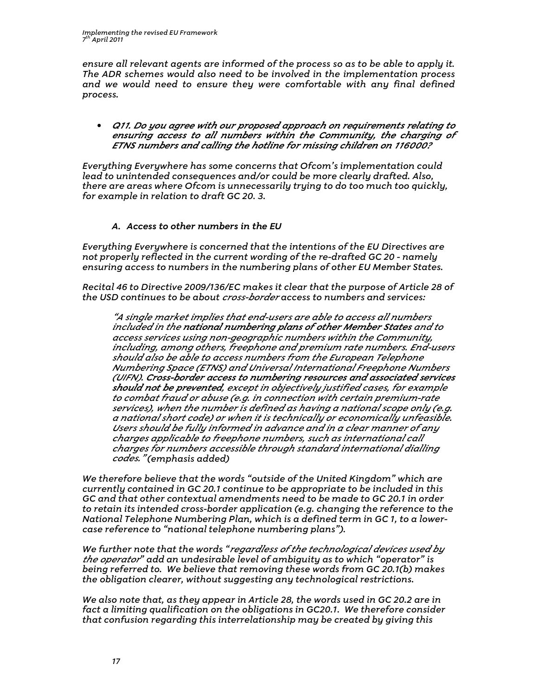ensure all relevant agents are informed of the process so as to be able to apply it. The ADR schemes would also need to be involved in the implementation process and we would need to ensure they were comfortable with any final defined process.

• Q11. Do you agree with our proposed approach on requirements relating to ensuring access to all numbers within the Community, the charging of ETNS numbers and calling the hotline for missing children on 116000?

Everything Everywhere has some concerns that Ofcom's implementation could lead to unintended consequences and/or could be more clearly drafted. Also, there are areas where Ofcom is unnecessarily trying to do too much too quickly, for example in relation to draft GC 20. 3.

#### A. Access to other numbers in the EU

Everything Everywhere is concerned that the intentions of the EU Directives are not properly reflected in the current wording of the re-drafted GC 20 - namely ensuring access to numbers in the numbering plans of other EU Member States.

Recital 46 to Directive 2009/136/EC makes it clear that the purpose of Article 28 of the USD continues to be about cross-border access to numbers and services:

"A single market implies that end-users are able to access all numbers included in the national numbering plans of other Member States and to access services using non-geographic numbers within the Community, including, among others, freephone and premium rate numbers. End-users should also be able to access numbers from the European Telephone Numbering Space (ETNS) and Universal International Freephone Numbers (UIFN). Cross-border access to numbering resources and associated services should not be prevented, except in objectively justified cases, for example to combat fraud or abuse (e.g. in connection with certain premium-rate services), when the number is defined as having a national scope only (e.g. a national short code) or when it is technically or economically unfeasible. Users should be fully informed in advance and in a clear manner of any charges applicable to freephone numbers, such as international call charges for numbers accessible through standard international dialling codes." (emphasis added)

We therefore believe that the words "outside of the United Kingdom" which are currently contained in GC 20.1 continue to be appropriate to be included in this GC and that other contextual amendments need to be made to GC 20.1 in order to retain its intended cross-border application (e.g. changing the reference to the National Telephone Numbering Plan, which is a defined term in GC 1, to a lowercase reference to "national telephone numbering plans").

We further note that the words "regardless of the technological devices used by the operator" add an undesirable level of ambiguity as to which "operator" is being referred to. We believe that removing these words from GC 20.1(b) makes the obligation clearer, without suggesting any technological restrictions.

We also note that, as they appear in Article 28, the words used in GC 20.2 are in fact a limiting qualification on the obligations in GC20.1. We therefore consider that confusion regarding this interrelationship may be created by giving this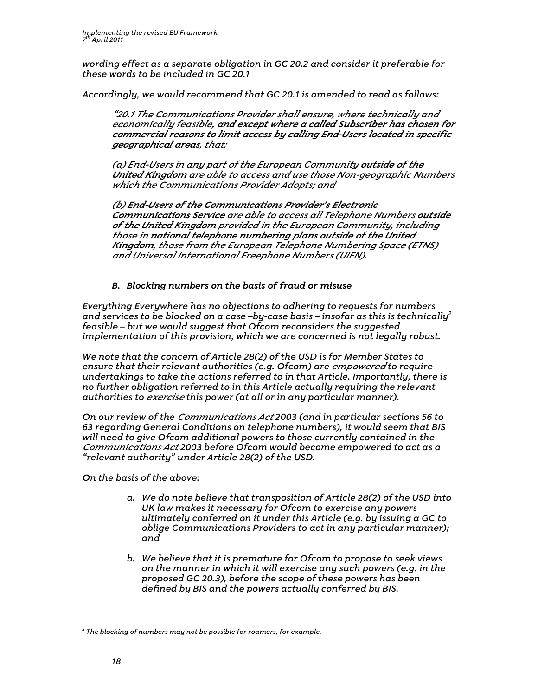wording effect as a separate obligation in GC 20.2 and consider it preferable for these words to be included in GC 20.1

Accordingly, we would recommend that GC 20.1 is amended to read as follows:

"20.1 The Communications Provider shall ensure, where technically and economically feasible, and except where a called Subscriber has chosen for commercial reasons to limit access by calling End-Users located in specific geographical areas, that:

(a) End-Users in any part of the European Community outside of the United Kingdom are able to access and use those Non-geographic Numbers which the Communications Provider Adopts; and

(b) End-Users of the Communications Provider's Electronic Communications Service are able to access all Telephone Numbers outside of the United Kingdom provided in the European Community, including those in national telephone numbering plans outside of the United Kingdom, those from the European Telephone Numbering Space (ETNS) and Universal International Freephone Numbers (UIFN).

### B. Blocking numbers on the basis of fraud or misuse

Everything Everywhere has no objections to adhering to requests for numbers and services to be blocked on a case –by-case basis – insofar as this is technically $^2$ feasible – but we would suggest that Ofcom reconsiders the suggested implementation of this provision, which we are concerned is not legally robust.

We note that the concern of Article 28(2) of the USD is for Member States to ensure that their relevant authorities (e.g. Ofcom) are empowered to require undertakings to take the actions referred to in that Article. Importantly, there is no further obligation referred to in this Article actually requiring the relevant authorities to *exercise* this power (at all or in any particular manner).

On our review of the Communications Act 2003 (and in particular sections 56 to 63 regarding General Conditions on telephone numbers), it would seem that BIS will need to give Ofcom additional powers to those currently contained in the Communications Act 2003 before Ofcom would become empowered to act as a "relevant authority" under Article 28(2) of the USD.

On the basis of the above:

- a. We do note believe that transposition of Article 28(2) of the USD into UK law makes it necessary for Ofcom to exercise any powers ultimately conferred on it under this Article (e.g. by issuing a GC to oblige Communications Providers to act in any particular manner); and
- b. We believe that it is premature for Ofcom to propose to seek views on the manner in which it will exercise any such powers (e.g. in the proposed GC 20.3), before the scope of these powers has been defined by BIS and the powers actually conferred by BIS.

 $\overline{a}$ 

 $2$  The blocking of numbers may not be possible for roamers, for example.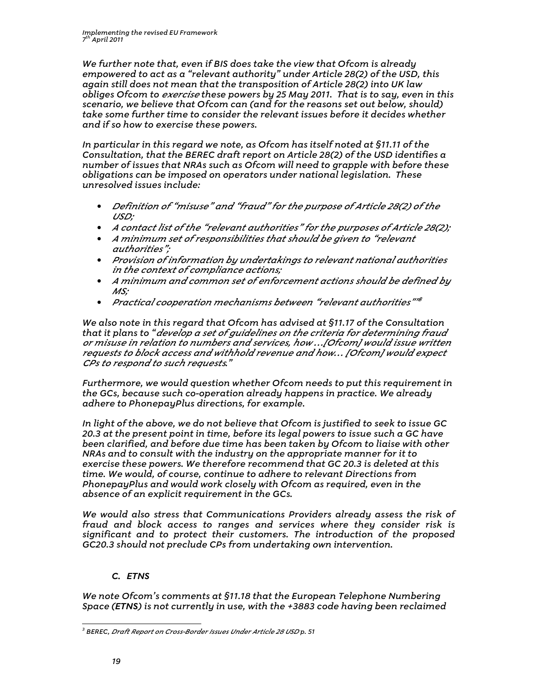We further note that, even if BIS does take the view that Ofcom is already empowered to act as a "relevant authority" under Article 28(2) of the USD, this again still does not mean that the transposition of Article 28(2) into UK law obliges Ofcom to *exercise* these powers by 25 May 2011. That is to say, even in this scenario, we believe that Ofcom can (and for the reasons set out below, should) take some further time to consider the relevant issues before it decides whether and if so how to exercise these powers.

In particular in this regard we note, as Ofcom has itself noted at §11.11 of the Consultation, that the BEREC draft report on Article 28(2) of the USD identifies a number of issues that NRAs such as Ofcom will need to grapple with before these obligations can be imposed on operators under national legislation. These unresolved issues include:

- Definition of "misuse" and "fraud" for the purpose of Article 28(2) of the USD;
- A contact list of the "relevant authorities" for the purposes of Article 28(2);
- A minimum set of responsibilities that should be given to "relevant authorities";
- Provision of information by undertakings to relevant national authorities in the context of compliance actions;
- A minimum and common set of enforcement actions should be defined by MS;
- Practical cooperation mechanisms between "relevant authorities"<sup>18</sup>

We also note in this regard that Ofcom has advised at §11.17 of the Consultation that it plans to "develop a set of guidelines on the criteria for determining fraud or misuse in relation to numbers and services, how …[Ofcom] would issue written requests to block access and withhold revenue and how… [Ofcom] would expect CPs to respond to such requests."

Furthermore, we would question whether Ofcom needs to put this requirement in the GCs, because such co-operation already happens in practice. We already adhere to PhonepayPlus directions, for example.

In light of the above, we do not believe that Ofcom is justified to seek to issue GC 20.3 at the present point in time, before its legal powers to issue such a GC have been clarified, and before due time has been taken by Ofcom to liaise with other NRAs and to consult with the industry on the appropriate manner for it to exercise these powers. We therefore recommend that GC 20.3 is deleted at this time. We would, of course, continue to adhere to relevant Directions from PhonepayPlus and would work closely with Ofcom as required, even in the absence of an explicit requirement in the GCs.

We would also stress that Communications Providers already assess the risk of fraud and block access to ranges and services where they consider risk is significant and to protect their customers. The introduction of the proposed GC20.3 should not preclude CPs from undertaking own intervention.

## C. ETNS

We note Ofcom's comments at §11.18 that the European Telephone Numbering Space (ETNS) is not currently in use, with the +3883 code having been reclaimed

 $\overline{a}$ 

<sup>&</sup>lt;sup>3</sup> BEREC, *Draft Report on Cross-Border Issues Under Article 28 USD* p. 51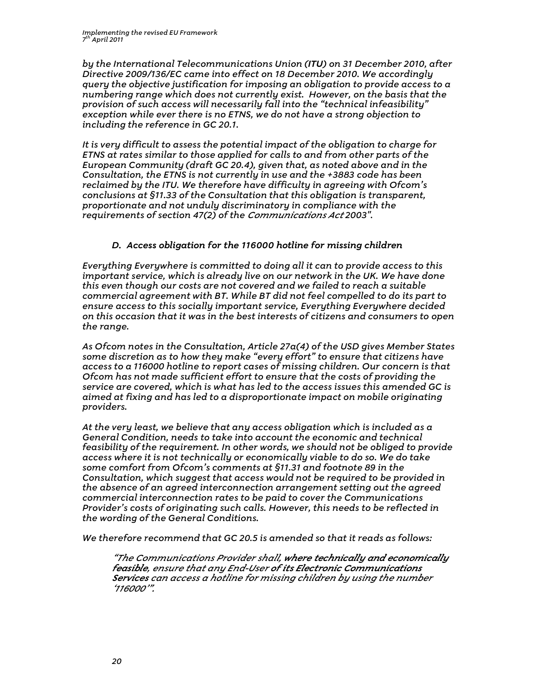by the International Telecommunications Union (ITU) on 31 December 2010, after Directive 2009/136/EC came into effect on 18 December 2010. We accordingly query the objective justification for imposing an obligation to provide access to a numbering range which does not currently exist. However, on the basis that the provision of such access will necessarily fall into the "technical infeasibility" exception while ever there is no ETNS, we do not have a strong objection to including the reference in GC 20.1.

It is very difficult to assess the potential impact of the obligation to charge for ETNS at rates similar to those applied for calls to and from other parts of the European Community (draft GC 20.4), given that, as noted above and in the Consultation, the ETNS is not currently in use and the +3883 code has been reclaimed by the ITU. We therefore have difficulty in agreeing with Ofcom's conclusions at §11.33 of the Consultation that this obligation is transparent, proportionate and not unduly discriminatory in compliance with the requirements of section 47(2) of the Communications Act 2003".

### D. Access obligation for the 116000 hotline for missing children

Everything Everywhere is committed to doing all it can to provide access to this important service, which is already live on our network in the UK. We have done this even though our costs are not covered and we failed to reach a suitable commercial agreement with BT. While BT did not feel compelled to do its part to ensure access to this socially important service, Everything Everywhere decided on this occasion that it was in the best interests of citizens and consumers to open the range.

As Ofcom notes in the Consultation, Article 27a(4) of the USD gives Member States some discretion as to how they make "every effort" to ensure that citizens have access to a 116000 hotline to report cases of missing children. Our concern is that Ofcom has not made sufficient effort to ensure that the costs of providing the service are covered, which is what has led to the access issues this amended GC is aimed at fixing and has led to a disproportionate impact on mobile originating providers.

At the very least, we believe that any access obligation which is included as a General Condition, needs to take into account the economic and technical feasibility of the requirement. In other words, we should not be obliged to provide access where it is not technically or economically viable to do so. We do take some comfort from Ofcom's comments at §11.31 and footnote 89 in the Consultation, which suggest that access would not be required to be provided in the absence of an agreed interconnection arrangement setting out the agreed commercial interconnection rates to be paid to cover the Communications Provider's costs of originating such calls. However, this needs to be reflected in the wording of the General Conditions.

We therefore recommend that GC 20.5 is amended so that it reads as follows:

"The Communications Provider shall, where technically and economically feasible, ensure that any End-User of its Electronic Communications Services can access a hotline for missing children by using the number '116000'".